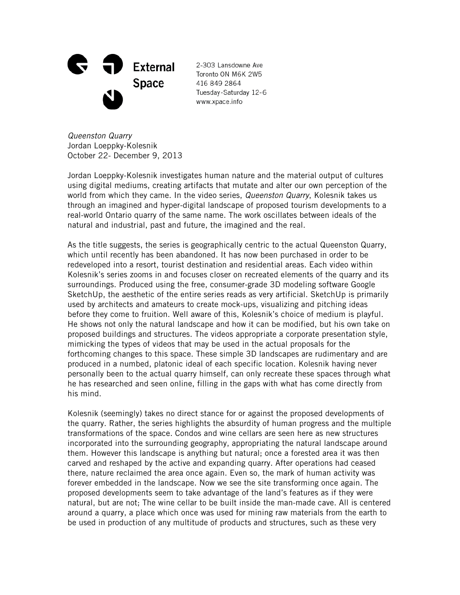

2-303 Lansdowne Ave Toronto ON M6K 2W5 416 849 2864 Tuesday-Saturday 12-6 www.xpace.info

*Queenston Quarry* Jordan Loeppky-Kolesnik October 22- December 9, 2013

Jordan Loeppky-Kolesnik investigates human nature and the material output of cultures using digital mediums, creating artifacts that mutate and alter our own perception of the world from which they came. In the video series, *Queenston Quarry*, Kolesnik takes us through an imagined and hyper-digital landscape of proposed tourism developments to a real-world Ontario quarry of the same name. The work oscillates between ideals of the natural and industrial, past and future, the imagined and the real.

As the title suggests, the series is geographically centric to the actual Queenston Quarry, which until recently has been abandoned. It has now been purchased in order to be redeveloped into a resort, tourist destination and residential areas. Each video within Kolesnik's series zooms in and focuses closer on recreated elements of the quarry and its surroundings. Produced using the free, consumer-grade 3D modeling software Google SketchUp, the aesthetic of the entire series reads as very artificial. SketchUp is primarily used by architects and amateurs to create mock-ups, visualizing and pitching ideas before they come to fruition. Well aware of this, Kolesnik's choice of medium is playful. He shows not only the natural landscape and how it can be modified, but his own take on proposed buildings and structures. The videos appropriate a corporate presentation style, mimicking the types of videos that may be used in the actual proposals for the forthcoming changes to this space. These simple 3D landscapes are rudimentary and are produced in a numbed, platonic ideal of each specific location. Kolesnik having never personally been to the actual quarry himself, can only recreate these spaces through what he has researched and seen online, filling in the gaps with what has come directly from his mind.

Kolesnik (seemingly) takes no direct stance for or against the proposed developments of the quarry. Rather, the series highlights the absurdity of human progress and the multiple transformations of the space. Condos and wine cellars are seen here as new structures incorporated into the surrounding geography, appropriating the natural landscape around them. However this landscape is anything but natural; once a forested area it was then carved and reshaped by the active and expanding quarry. After operations had ceased there, nature reclaimed the area once again. Even so, the mark of human activity was forever embedded in the landscape. Now we see the site transforming once again. The proposed developments seem to take advantage of the land's features as if they were natural, but are not; The wine cellar to be built inside the man-made cave. All is centered around a quarry, a place which once was used for mining raw materials from the earth to be used in production of any multitude of products and structures, such as these very